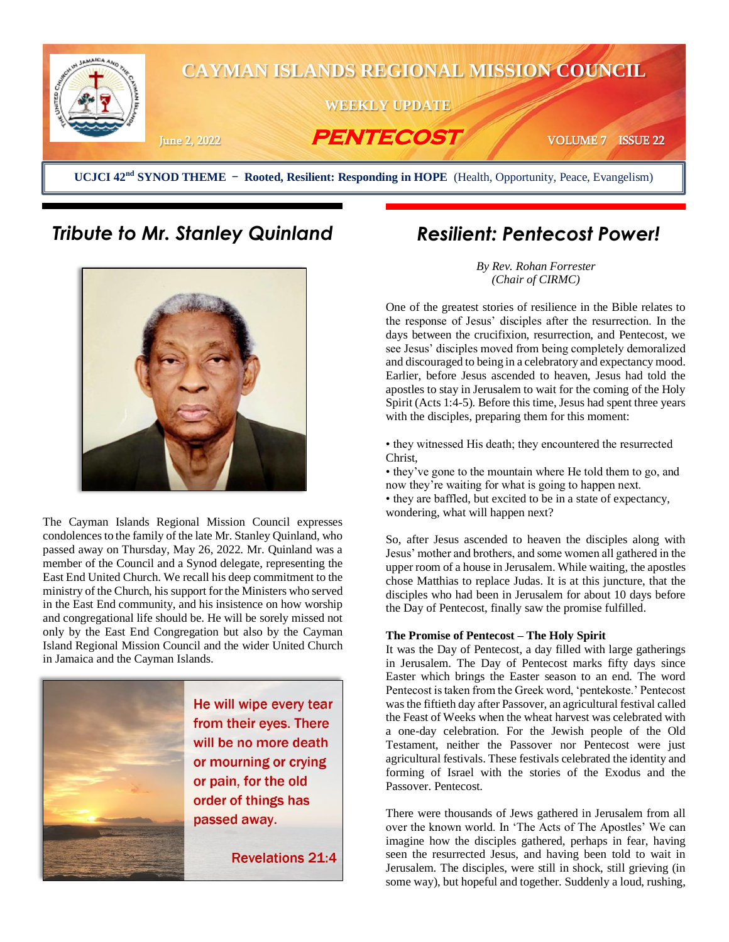

## *Tribute to Mr. Stanley Quinland*



The Cayman Islands Regional Mission Council expresses condolences to the family of the late Mr. Stanley Quinland, who passed away on Thursday, May 26, 2022. Mr. Quinland was a member of the Council and a Synod delegate, representing the East End United Church. We recall his deep commitment to the ministry of the Church, his support for the Ministers who served in the East End community, and his insistence on how worship and congregational life should be. He will be sorely missed not only by the East End Congregation but also by the Cayman Island Regional Mission Council and the wider United Church in Jamaica and the Cayman Islands.



## *Resilient: Pentecost Power!*

*By Rev. Rohan Forrester (Chair of CIRMC)*

One of the greatest stories of resilience in the Bible relates to the response of Jesus' disciples after the resurrection. In the days between the crucifixion, resurrection, and Pentecost, we see Jesus' disciples moved from being completely demoralized and discouraged to being in a celebratory and expectancy mood. Earlier, before Jesus ascended to heaven, Jesus had told the apostles to stay in Jerusalem to wait for the coming of the Holy Spirit (Acts 1:4-5). Before this time, Jesus had spent three years with the disciples, preparing them for this moment:

• they witnessed His death; they encountered the resurrected Christ,

• they've gone to the mountain where He told them to go, and now they're waiting for what is going to happen next.

• they are baffled, but excited to be in a state of expectancy, wondering, what will happen next?

So, after Jesus ascended to heaven the disciples along with Jesus' mother and brothers, and some women all gathered in the upper room of a house in Jerusalem. While waiting, the apostles chose Matthias to replace Judas. It is at this juncture, that the disciples who had been in Jerusalem for about 10 days before the Day of Pentecost, finally saw the promise fulfilled.

#### **The Promise of Pentecost – The Holy Spirit**

It was the Day of Pentecost, a day filled with large gatherings in Jerusalem. The Day of Pentecost marks fifty days since Easter which brings the Easter season to an end. The word Pentecost is taken from the Greek word, 'pentekoste.' Pentecost was the fiftieth day after Passover, an agricultural festival called the Feast of Weeks when the wheat harvest was celebrated with a one-day celebration. For the Jewish people of the Old Testament, neither the Passover nor Pentecost were just agricultural festivals. These festivals celebrated the identity and forming of Israel with the stories of the Exodus and the Passover. Pentecost.

There were thousands of Jews gathered in Jerusalem from all over the known world. In 'The Acts of The Apostles' We can imagine how the disciples gathered, perhaps in fear, having seen the resurrected Jesus, and having been told to wait in Jerusalem. The disciples, were still in shock, still grieving (in some way), but hopeful and together. Suddenly a loud, rushing,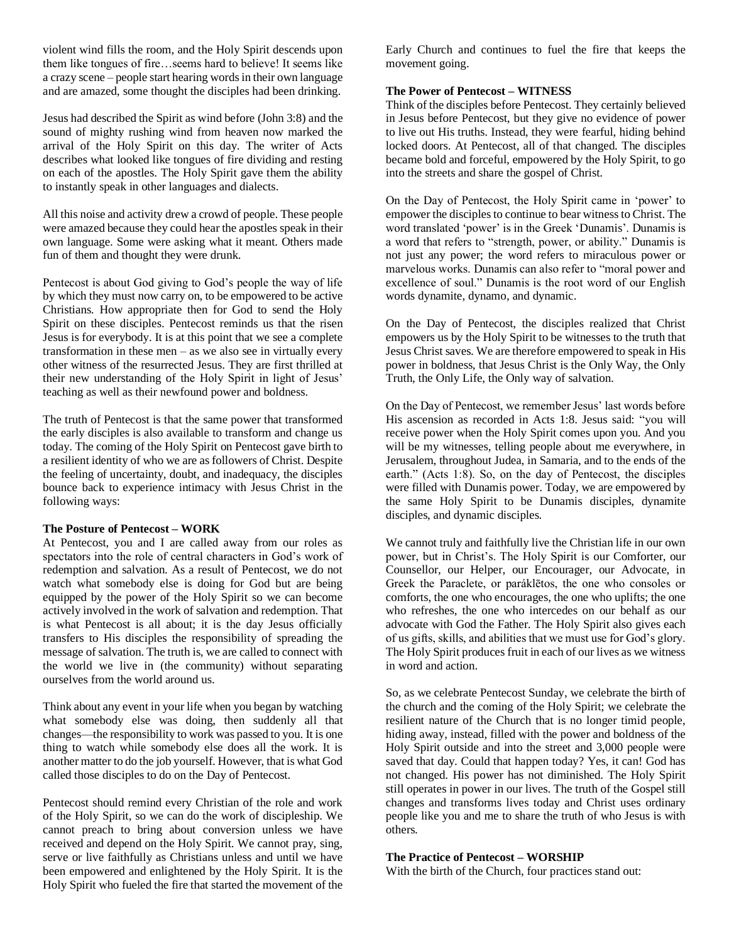violent wind fills the room, and the Holy Spirit descends upon them like tongues of fire…seems hard to believe! It seems like a crazy scene – people start hearing words in their own language and are amazed, some thought the disciples had been drinking.

Jesus had described the Spirit as wind before (John 3:8) and the sound of mighty rushing wind from heaven now marked the arrival of the Holy Spirit on this day. The writer of Acts describes what looked like tongues of fire dividing and resting on each of the apostles. The Holy Spirit gave them the ability to instantly speak in other languages and dialects.

All this noise and activity drew a crowd of people. These people were amazed because they could hear the apostles speak in their own language. Some were asking what it meant. Others made fun of them and thought they were drunk.

Pentecost is about God giving to God's people the way of life by which they must now carry on, to be empowered to be active Christians. How appropriate then for God to send the Holy Spirit on these disciples. Pentecost reminds us that the risen Jesus is for everybody. It is at this point that we see a complete transformation in these men  $-$  as we also see in virtually every other witness of the resurrected Jesus. They are first thrilled at their new understanding of the Holy Spirit in light of Jesus' teaching as well as their newfound power and boldness.

The truth of Pentecost is that the same power that transformed the early disciples is also available to transform and change us today. The coming of the Holy Spirit on Pentecost gave birth to a resilient identity of who we are as followers of Christ. Despite the feeling of uncertainty, doubt, and inadequacy, the disciples bounce back to experience intimacy with Jesus Christ in the following ways:

#### **The Posture of Pentecost – WORK**

At Pentecost, you and I are called away from our roles as spectators into the role of central characters in God's work of redemption and salvation. As a result of Pentecost, we do not watch what somebody else is doing for God but are being equipped by the power of the Holy Spirit so we can become actively involved in the work of salvation and redemption. That is what Pentecost is all about; it is the day Jesus officially transfers to His disciples the responsibility of spreading the message of salvation. The truth is, we are called to connect with the world we live in (the community) without separating ourselves from the world around us.

Think about any event in your life when you began by watching what somebody else was doing, then suddenly all that changes—the responsibility to work was passed to you. It is one thing to watch while somebody else does all the work. It is another matter to do the job yourself. However, that is what God called those disciples to do on the Day of Pentecost.

Pentecost should remind every Christian of the role and work of the Holy Spirit, so we can do the work of discipleship. We cannot preach to bring about conversion unless we have received and depend on the Holy Spirit. We cannot pray, sing, serve or live faithfully as Christians unless and until we have been empowered and enlightened by the Holy Spirit. It is the Holy Spirit who fueled the fire that started the movement of the Early Church and continues to fuel the fire that keeps the movement going.

#### **The Power of Pentecost – WITNESS**

Think of the disciples before Pentecost. They certainly believed in Jesus before Pentecost, but they give no evidence of power to live out His truths. Instead, they were fearful, hiding behind locked doors. At Pentecost, all of that changed. The disciples became bold and forceful, empowered by the Holy Spirit, to go into the streets and share the gospel of Christ.

On the Day of Pentecost, the Holy Spirit came in 'power' to empower the disciples to continue to bear witness to Christ. The word translated 'power' is in the Greek 'Dunamis'. Dunamis is a word that refers to "strength, power, or ability." Dunamis is not just any power; the word refers to miraculous power or marvelous works. Dunamis can also refer to "moral power and excellence of soul." Dunamis is the root word of our English words dynamite, dynamo, and dynamic.

On the Day of Pentecost, the disciples realized that Christ empowers us by the Holy Spirit to be witnesses to the truth that Jesus Christ saves. We are therefore empowered to speak in His power in boldness, that Jesus Christ is the Only Way, the Only Truth, the Only Life, the Only way of salvation.

On the Day of Pentecost, we remember Jesus' last words before His ascension as recorded in Acts 1:8. Jesus said: "you will receive power when the Holy Spirit comes upon you. And you will be my witnesses, telling people about me everywhere, in Jerusalem, throughout Judea, in Samaria, and to the ends of the earth." (Acts 1:8). So, on the day of Pentecost, the disciples were filled with Dunamis power. Today, we are empowered by the same Holy Spirit to be Dunamis disciples, dynamite disciples, and dynamic disciples.

We cannot truly and faithfully live the Christian life in our own power, but in Christ's. The Holy Spirit is our Comforter, our Counsellor, our Helper, our Encourager, our Advocate, in Greek the Paraclete, or paráklētos, the one who consoles or comforts, the one who encourages, the one who uplifts; the one who refreshes, the one who intercedes on our behalf as our advocate with God the Father. The Holy Spirit also gives each of us gifts, skills, and abilities that we must use for God's glory. The Holy Spirit produces fruit in each of our lives as we witness in word and action.

So, as we celebrate Pentecost Sunday, we celebrate the birth of the church and the coming of the Holy Spirit; we celebrate the resilient nature of the Church that is no longer timid people, hiding away, instead, filled with the power and boldness of the Holy Spirit outside and into the street and 3,000 people were saved that day. Could that happen today? Yes, it can! God has not changed. His power has not diminished. The Holy Spirit still operates in power in our lives. The truth of the Gospel still changes and transforms lives today and Christ uses ordinary people like you and me to share the truth of who Jesus is with others.

#### **The Practice of Pentecost – WORSHIP**

With the birth of the Church, four practices stand out: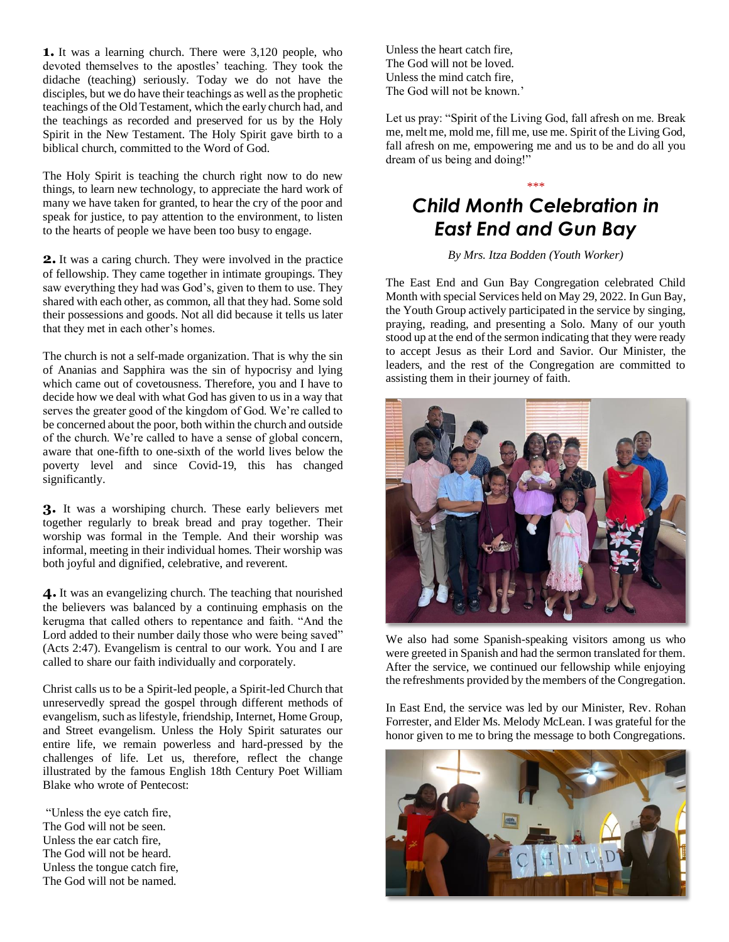**1.** It was a learning church. There were 3,120 people, who devoted themselves to the apostles' teaching. They took the didache (teaching) seriously. Today we do not have the disciples, but we do have their teachings as well as the prophetic teachings of the Old Testament, which the early church had, and the teachings as recorded and preserved for us by the Holy Spirit in the New Testament. The Holy Spirit gave birth to a biblical church, committed to the Word of God.

The Holy Spirit is teaching the church right now to do new things, to learn new technology, to appreciate the hard work of many we have taken for granted, to hear the cry of the poor and speak for justice, to pay attention to the environment, to listen to the hearts of people we have been too busy to engage.

**2.** It was a caring church. They were involved in the practice of fellowship. They came together in intimate groupings. They saw everything they had was God's, given to them to use. They shared with each other, as common, all that they had. Some sold their possessions and goods. Not all did because it tells us later that they met in each other's homes.

The church is not a self-made organization. That is why the sin of Ananias and Sapphira was the sin of hypocrisy and lying which came out of covetousness. Therefore, you and I have to decide how we deal with what God has given to us in a way that serves the greater good of the kingdom of God. We're called to be concerned about the poor, both within the church and outside of the church. We're called to have a sense of global concern, aware that one-fifth to one-sixth of the world lives below the poverty level and since Covid-19, this has changed significantly.

**3.** It was a worshiping church. These early believers met together regularly to break bread and pray together. Their worship was formal in the Temple. And their worship was informal, meeting in their individual homes. Their worship was both joyful and dignified, celebrative, and reverent.

**4.** It was an evangelizing church. The teaching that nourished the believers was balanced by a continuing emphasis on the kerugma that called others to repentance and faith. "And the Lord added to their number daily those who were being saved" (Acts 2:47). Evangelism is central to our work. You and I are called to share our faith individually and corporately.

Christ calls us to be a Spirit-led people, a Spirit-led Church that unreservedly spread the gospel through different methods of evangelism, such as lifestyle, friendship, Internet, Home Group, and Street evangelism. Unless the Holy Spirit saturates our entire life, we remain powerless and hard-pressed by the challenges of life. Let us, therefore, reflect the change illustrated by the famous English 18th Century Poet William Blake who wrote of Pentecost:

"Unless the eye catch fire, The God will not be seen. Unless the ear catch fire, The God will not be heard. Unless the tongue catch fire, The God will not be named.

Unless the heart catch fire, The God will not be loved. Unless the mind catch fire, The God will not be known.'

Let us pray: "Spirit of the Living God, fall afresh on me. Break me, melt me, mold me, fill me, use me. Spirit of the Living God, fall afresh on me, empowering me and us to be and do all you dream of us being and doing!"

### \*\*\* *Child Month Celebration in East End and Gun Bay*

#### *By Mrs. Itza Bodden (Youth Worker)*

The East End and Gun Bay Congregation celebrated Child Month with special Services held on May 29, 2022. In Gun Bay, the Youth Group actively participated in the service by singing, praying, reading, and presenting a Solo. Many of our youth stood up at the end of the sermon indicating that they were ready to accept Jesus as their Lord and Savior. Our Minister, the leaders, and the rest of the Congregation are committed to assisting them in their journey of faith.



We also had some Spanish-speaking visitors among us who were greeted in Spanish and had the sermon translated for them. After the service, we continued our fellowship while enjoying the refreshments provided by the members of the Congregation.

In East End, the service was led by our Minister, Rev. Rohan Forrester, and Elder Ms. Melody McLean. I was grateful for the honor given to me to bring the message to both Congregations.

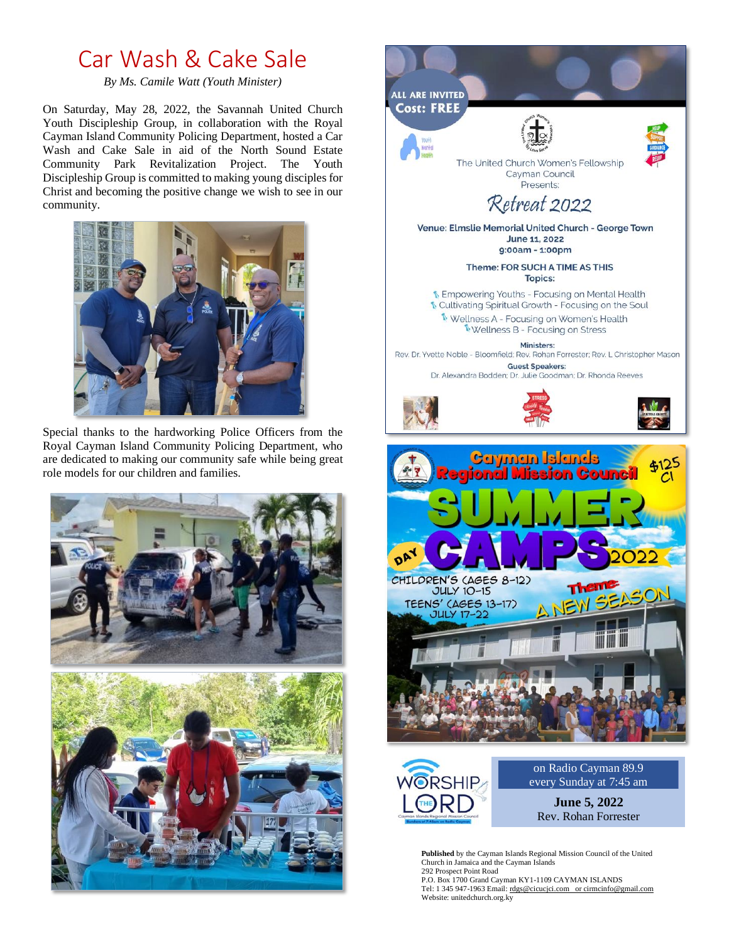## Car Wash & Cake Sale

*By Ms. Camile Watt (Youth Minister)*

On Saturday, May 28, 2022, the Savannah United Church Youth Discipleship Group, in collaboration with the Royal Cayman Island Community Policing Department, hosted a Car Wash and Cake Sale in aid of the North Sound Estate Community Park Revitalization Project. The Youth Discipleship Group is committed to making young disciples for Christ and becoming the positive change we wish to see in our community.



Special thanks to the hardworking Police Officers from the Royal Cayman Island Community Policing Department, who are dedicated to making our community safe while being great role models for our children and families.







P.O. Box 1700 Grand Cayman KY1-1109 CAYMAN ISLANDS Tel: 1 345 947-1963 Email[: rdgs@cicucjci.com](about:blank) o[r cirmcinfo@gmail.com](about:blank) Website: unitedchurch.org.ky